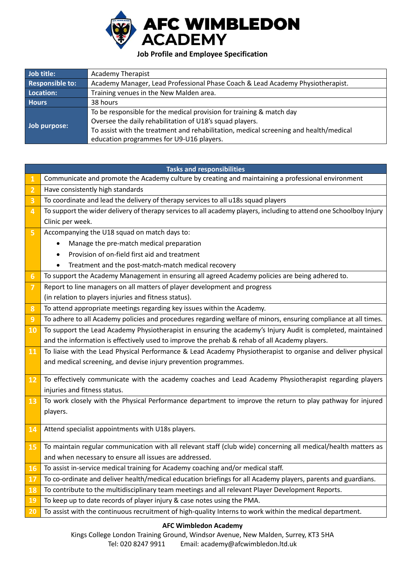

## **Job Profile and Employee Specification**

| Job title:             | <b>Academy Therapist</b>                                                              |  |
|------------------------|---------------------------------------------------------------------------------------|--|
| <b>Responsible to:</b> | Academy Manager, Lead Professional Phase Coach & Lead Academy Physiotherapist.        |  |
| Location:              | Training venues in the New Malden area.                                               |  |
| <b>Hours</b>           | 38 hours                                                                              |  |
|                        | To be responsible for the medical provision for training & match day                  |  |
|                        | Oversee the daily rehabilitation of U18's squad players.                              |  |
| Job purpose:           | To assist with the treatment and rehabilitation, medical screening and health/medical |  |
|                        | education programmes for U9-U16 players.                                              |  |

| <b>Tasks and responsibilities</b> |                                                                                                                    |  |
|-----------------------------------|--------------------------------------------------------------------------------------------------------------------|--|
| $\mathbf{1}$                      | Communicate and promote the Academy culture by creating and maintaining a professional environment                 |  |
| $\overline{2}$                    | Have consistently high standards                                                                                   |  |
| 3                                 | To coordinate and lead the delivery of therapy services to all u18s squad players                                  |  |
| $\overline{\mathbf{4}}$           | To support the wider delivery of therapy services to all academy players, including to attend one Schoolboy Injury |  |
|                                   | Clinic per week.                                                                                                   |  |
| 5                                 | Accompanying the U18 squad on match days to:                                                                       |  |
|                                   | Manage the pre-match medical preparation                                                                           |  |
|                                   | Provision of on-field first aid and treatment                                                                      |  |
|                                   | Treatment and the post-match-match medical recovery<br>٠                                                           |  |
| $6\phantom{1}6$                   | To support the Academy Management in ensuring all agreed Academy policies are being adhered to.                    |  |
| $\overline{7}$                    | Report to line managers on all matters of player development and progress                                          |  |
|                                   | (in relation to players injuries and fitness status).                                                              |  |
| $\boldsymbol{8}$                  | To attend appropriate meetings regarding key issues within the Academy.                                            |  |
| 9                                 | To adhere to all Academy policies and procedures regarding welfare of minors, ensuring compliance at all times.    |  |
| 10                                | To support the Lead Academy Physiotherapist in ensuring the academy's Injury Audit is completed, maintained        |  |
|                                   | and the information is effectively used to improve the prehab & rehab of all Academy players.                      |  |
| 11                                | To liaise with the Lead Physical Performance & Lead Academy Physiotherapist to organise and deliver physical       |  |
|                                   | and medical screening, and devise injury prevention programmes.                                                    |  |
| 12                                | To effectively communicate with the academy coaches and Lead Academy Physiotherapist regarding players             |  |
|                                   | injuries and fitness status.                                                                                       |  |
| 13                                | To work closely with the Physical Performance department to improve the return to play pathway for injured         |  |
|                                   | players.                                                                                                           |  |
|                                   |                                                                                                                    |  |
| 14                                | Attend specialist appointments with U18s players.                                                                  |  |
|                                   | To maintain regular communication with all relevant staff (club wide) concerning all medical/health matters as     |  |
| 15                                |                                                                                                                    |  |
|                                   | and when necessary to ensure all issues are addressed.                                                             |  |
|                                   | 16 To assist in-service medical training for Academy coaching and/or medical staff.                                |  |
| 17                                | To co-ordinate and deliver health/medical education briefings for all Academy players, parents and guardians.      |  |
| 18                                | To contribute to the multidisciplinary team meetings and all relevant Player Development Reports.                  |  |
| <b>19</b>                         | To keep up to date records of player injury & case notes using the PMA.                                            |  |
| 20                                | To assist with the continuous recruitment of high-quality Interns to work within the medical department.           |  |

## **AFC Wimbledon Academy**

Kings College London Training Ground, Windsor Avenue, New Malden, Surrey, KT3 5HA Tel: 020 8247 9911 Email: academy@afcwimbledon.ltd.uk